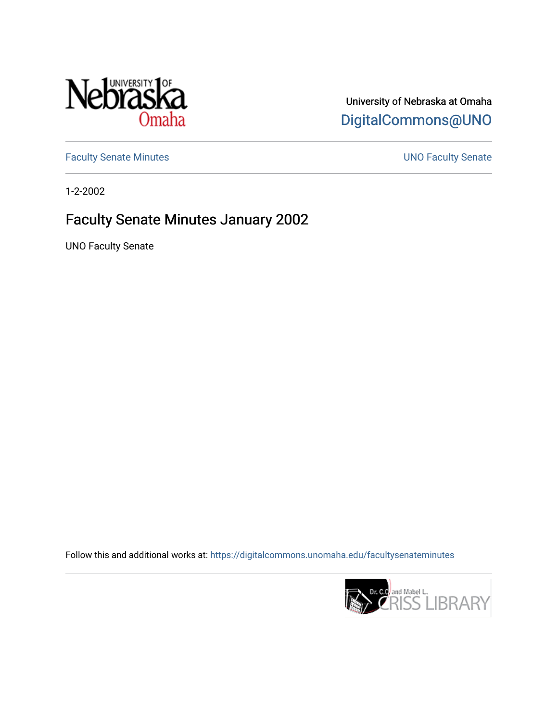

## University of Nebraska at Omaha [DigitalCommons@UNO](https://digitalcommons.unomaha.edu/)

[Faculty Senate Minutes](https://digitalcommons.unomaha.edu/facultysenateminutes) **Exercise Senate UNO Faculty Senate** 

1-2-2002

## Faculty Senate Minutes January 2002

UNO Faculty Senate

Follow this and additional works at: [https://digitalcommons.unomaha.edu/facultysenateminutes](https://digitalcommons.unomaha.edu/facultysenateminutes?utm_source=digitalcommons.unomaha.edu%2Ffacultysenateminutes%2F90&utm_medium=PDF&utm_campaign=PDFCoverPages) 

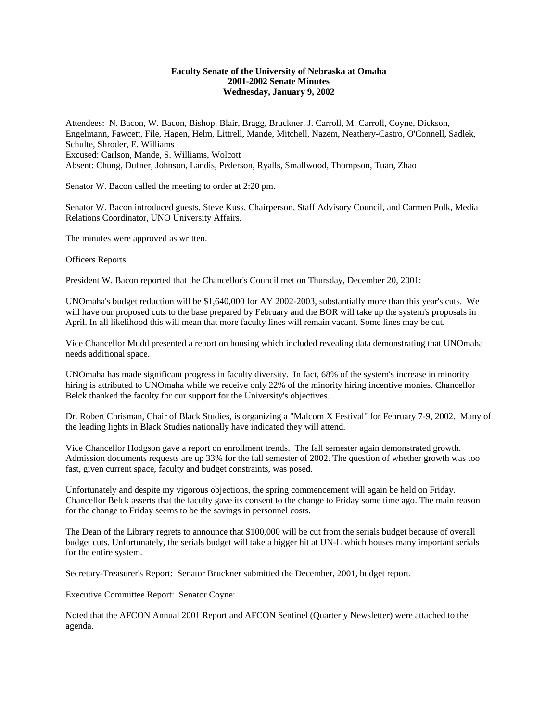## **Faculty Senate of the University of Nebraska at Omaha 2001-2002 Senate Minutes Wednesday, January 9, 2002**

Attendees: N. Bacon, W. Bacon, Bishop, Blair, Bragg, Bruckner, J. Carroll, M. Carroll, Coyne, Dickson, Engelmann, Fawcett, File, Hagen, Helm, Littrell, Mande, Mitchell, Nazem, Neathery-Castro, O'Connell, Sadlek, Schulte, Shroder, E. Williams Excused: Carlson, Mande, S. Williams, Wolcott Absent: Chung, Dufner, Johnson, Landis, Pederson, Ryalls, Smallwood, Thompson, Tuan, Zhao

Senator W. Bacon called the meeting to order at 2:20 pm.

Senator W. Bacon introduced guests, Steve Kuss, Chairperson, Staff Advisory Council, and Carmen Polk, Media Relations Coordinator, UNO University Affairs.

The minutes were approved as written.

Officers Reports

President W. Bacon reported that the Chancellor's Council met on Thursday, December 20, 2001:

UNOmaha's budget reduction will be \$1,640,000 for AY 2002-2003, substantially more than this year's cuts. We will have our proposed cuts to the base prepared by February and the BOR will take up the system's proposals in April. In all likelihood this will mean that more faculty lines will remain vacant. Some lines may be cut.

Vice Chancellor Mudd presented a report on housing which included revealing data demonstrating that UNOmaha needs additional space.

UNOmaha has made significant progress in faculty diversity. In fact, 68% of the system's increase in minority hiring is attributed to UNOmaha while we receive only 22% of the minority hiring incentive monies. Chancellor Belck thanked the faculty for our support for the University's objectives.

Dr. Robert Chrisman, Chair of Black Studies, is organizing a "Malcom X Festival" for February 7-9, 2002. Many of the leading lights in Black Studies nationally have indicated they will attend.

Vice Chancellor Hodgson gave a report on enrollment trends. The fall semester again demonstrated growth. Admission documents requests are up 33% for the fall semester of 2002. The question of whether growth was too fast, given current space, faculty and budget constraints, was posed.

Unfortunately and despite my vigorous objections, the spring commencement will again be held on Friday. Chancellor Belck asserts that the faculty gave its consent to the change to Friday some time ago. The main reason for the change to Friday seems to be the savings in personnel costs.

The Dean of the Library regrets to announce that \$100,000 will be cut from the serials budget because of overall budget cuts. Unfortunately, the serials budget will take a bigger hit at UN-L which houses many important serials for the entire system.

Secretary-Treasurer's Report: Senator Bruckner submitted the December, 2001, budget report.

Executive Committee Report: Senator Coyne:

Noted that the AFCON Annual 2001 Report and AFCON Sentinel (Quarterly Newsletter) were attached to the agenda.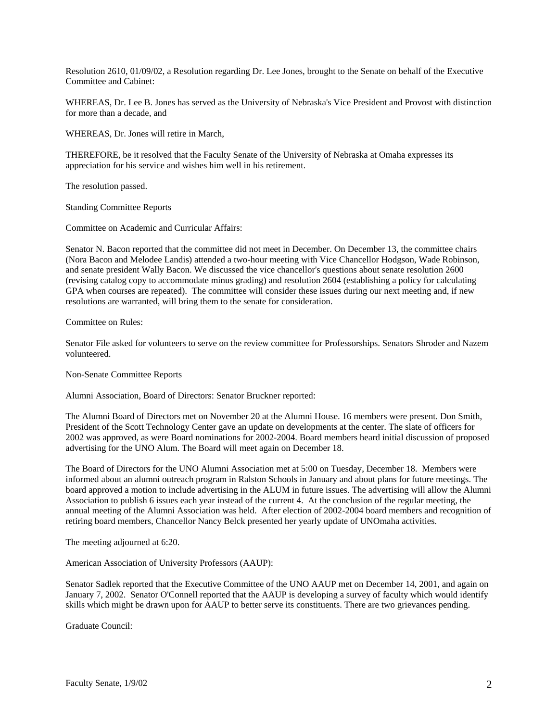Resolution 2610, 01/09/02, a Resolution regarding Dr. Lee Jones, brought to the Senate on behalf of the Executive Committee and Cabinet:

WHEREAS, Dr. Lee B. Jones has served as the University of Nebraska's Vice President and Provost with distinction for more than a decade, and

WHEREAS, Dr. Jones will retire in March,

THEREFORE, be it resolved that the Faculty Senate of the University of Nebraska at Omaha expresses its appreciation for his service and wishes him well in his retirement.

The resolution passed.

Standing Committee Reports

Committee on Academic and Curricular Affairs:

Senator N. Bacon reported that the committee did not meet in December. On December 13, the committee chairs (Nora Bacon and Melodee Landis) attended a two-hour meeting with Vice Chancellor Hodgson, Wade Robinson, and senate president Wally Bacon. We discussed the vice chancellor's questions about senate resolution 2600 (revising catalog copy to accommodate minus grading) and resolution 2604 (establishing a policy for calculating GPA when courses are repeated). The committee will consider these issues during our next meeting and, if new resolutions are warranted, will bring them to the senate for consideration.

Committee on Rules:

Senator File asked for volunteers to serve on the review committee for Professorships. Senators Shroder and Nazem volunteered.

Non-Senate Committee Reports

Alumni Association, Board of Directors: Senator Bruckner reported:

The Alumni Board of Directors met on November 20 at the Alumni House. 16 members were present. Don Smith, President of the Scott Technology Center gave an update on developments at the center. The slate of officers for 2002 was approved, as were Board nominations for 2002-2004. Board members heard initial discussion of proposed advertising for the UNO Alum. The Board will meet again on December 18.

The Board of Directors for the UNO Alumni Association met at 5:00 on Tuesday, December 18. Members were informed about an alumni outreach program in Ralston Schools in January and about plans for future meetings. The board approved a motion to include advertising in the ALUM in future issues. The advertising will allow the Alumni Association to publish 6 issues each year instead of the current 4. At the conclusion of the regular meeting, the annual meeting of the Alumni Association was held. After election of 2002-2004 board members and recognition of retiring board members, Chancellor Nancy Belck presented her yearly update of UNOmaha activities.

The meeting adjourned at 6:20.

American Association of University Professors (AAUP):

Senator Sadlek reported that the Executive Committee of the UNO AAUP met on December 14, 2001, and again on January 7, 2002. Senator O'Connell reported that the AAUP is developing a survey of faculty which would identify skills which might be drawn upon for AAUP to better serve its constituents. There are two grievances pending.

Graduate Council: